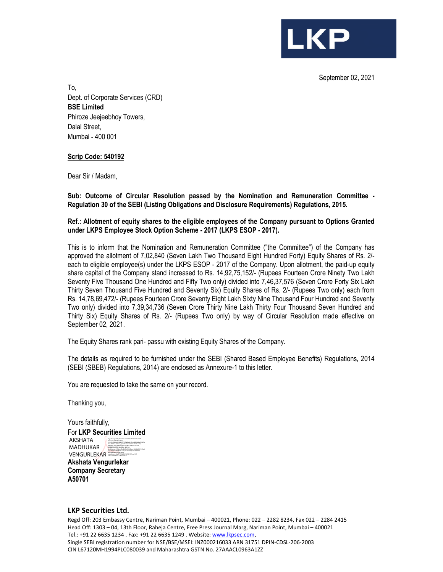September 02, 2021

**LKP** 

To, Dept. of Corporate Services (CRD) **BSE Limited**  Phiroze Jeejeebhoy Towers, Dalal Street, Mumbai - 400 001

## **Scrip Code: 540192**

Dear Sir / Madam,

**Sub: Outcome of Circular Resolution passed by the Nomination and Remuneration Committee - Regulation 30 of the SEBI (Listing Obligations and Disclosure Requirements) Regulations, 2015.** 

## **Ref.: Allotment of equity shares to the eligible employees of the Company pursuant to Options Granted under LKPS Employee Stock Option Scheme - 2017 (LKPS ESOP - 2017).**

This is to inform that the Nomination and Remuneration Committee ("the Committee") of the Company has approved the allotment of 7,02,840 (Seven Lakh Two Thousand Eight Hundred Forty) Equity Shares of Rs. 2/ each to eligible employee(s) under the LKPS ESOP - 2017 of the Company. Upon allotment, the paid-up equity share capital of the Company stand increased to Rs. 14,92,75,152/- (Rupees Fourteen Crore Ninety Two Lakh Seventy Five Thousand One Hundred and Fifty Two only) divided into 7,46,37,576 (Seven Crore Forty Six Lakh Thirty Seven Thousand Five Hundred and Seventy Six) Equity Shares of Rs. 2/- (Rupees Two only) each from Rs. 14,78,69,472/- (Rupees Fourteen Crore Seventy Eight Lakh Sixty Nine Thousand Four Hundred and Seventy Two only) divided into 7,39,34,736 (Seven Crore Thirty Nine Lakh Thirty Four Thousand Seven Hundred and Thirty Six) Equity Shares of Rs. 2/- (Rupees Two only) by way of Circular Resolution made effective on September 02, 2021.

The Equity Shares rank pari- passu with existing Equity Shares of the Company.

The details as required to be furnished under the SEBI (Shared Based Employee Benefits) Regulations, 2014 (SEBI (SBEB) Regulations, 2014) are enclosed as Annexure-1 to this letter.

You are requested to take the same on your record.

Thanking you,

Yours faithfully, For **LKP Securities Limited Akshata Vengurlekar**  AKSHATA MADHUKAR VENGURLEKAR DN: c=IN, st=Maharashtra, 8471a82e5a1362a4c8, postalCode=400104, street=A701, BUILDING NO. 14, MILLENNIUM CHS., SHASTRI NAGAR, GOREGAON WEST, MUMBAI - 400104, serialNumber=3386ccdfec234f7e355b8cec4161ebb9b71c2faa6 64e53bb930cbb8d6051a2a2, o=Personal, cn=AKSHATA MADHUKAR VENGURLEKAR, pseudonym=0baf971534a31e54f3fb15ff9c4a1129

**Company Secretary A50701**

## **LKP Securities Ltd.**

Regd Off: 203 Embassy Centre, Nariman Point, Mumbai – 400021, Phone: 022 – 2282 8234, Fax 022 – 2284 2415 Head Off: 1303 – 04, 13th Floor, Raheja Centre, Free Press Journal Marg, Nariman Point, Mumbai – 400021 Tel.: +91 22 6635 1234 . Fax: +91 22 6635 1249 . Website: www.lkpsec.com, Single SEBI registration number for NSE/BSE/MSEI: INZ000216033 ARN 31751 DPIN-CDSL-206-2003 CIN L67120MH1994PLC080039 and Maharashtra GSTN No. 27AAACL0963A1ZZ